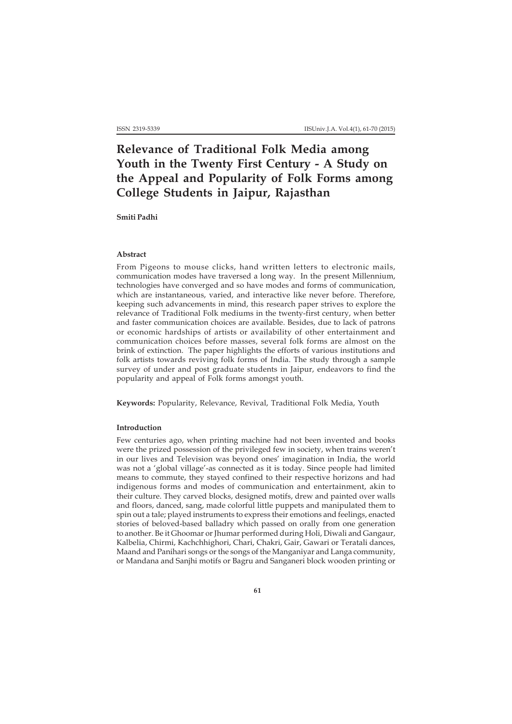# **Relevance of Traditional Folk Media among Youth in the Twenty First Century - A Study on the Appeal and Popularity of Folk Forms among College Students in Jaipur, Rajasthan**

**Smiti Padhi**

#### **Abstract**

From Pigeons to mouse clicks, hand written letters to electronic mails, communication modes have traversed a long way. In the present Millennium, technologies have converged and so have modes and forms of communication, which are instantaneous, varied, and interactive like never before. Therefore, keeping such advancements in mind, this research paper strives to explore the relevance of Traditional Folk mediums in the twenty-first century, when better and faster communication choices are available. Besides, due to lack of patrons or economic hardships of artists or availability of other entertainment and communication choices before masses, several folk forms are almost on the brink of extinction. The paper highlights the efforts of various institutions and folk artists towards reviving folk forms of India. The study through a sample survey of under and post graduate students in Jaipur, endeavors to find the popularity and appeal of Folk forms amongst youth.

**Keywords:** Popularity, Relevance, Revival, Traditional Folk Media, Youth

#### **Introduction**

Few centuries ago, when printing machine had not been invented and books were the prized possession of the privileged few in society, when trains weren't in our lives and Television was beyond ones' imagination in India, the world was not a 'global village'-as connected as it is today. Since people had limited means to commute, they stayed confined to their respective horizons and had indigenous forms and modes of communication and entertainment, akin to their culture. They carved blocks, designed motifs, drew and painted over walls and floors, danced, sang, made colorful little puppets and manipulated them to spin out a tale; played instruments to express their emotions and feelings, enacted stories of beloved-based balladry which passed on orally from one generation to another. Be it Ghoomar or Jhumar performed during Holi, Diwali and Gangaur, Kalbelia, Chirmi, Kachchhighori, Chari, Chakri, Gair, Gawari or Teratali dances, Maand and Panihari songs or the songs of the Manganiyar and Langa community, or Mandana and Sanjhi motifs or Bagru and Sanganeri block wooden printing or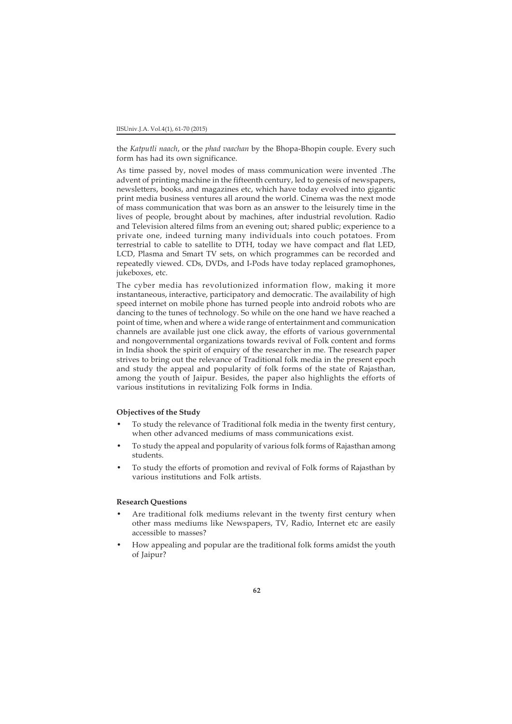the *Katputli naach*, or the *phad vaachan* by the Bhopa-Bhopin couple. Every such form has had its own significance.

As time passed by, novel modes of mass communication were invented .The advent of printing machine in the fifteenth century, led to genesis of newspapers, newsletters, books, and magazines etc, which have today evolved into gigantic print media business ventures all around the world. Cinema was the next mode of mass communication that was born as an answer to the leisurely time in the lives of people, brought about by machines, after industrial revolution. Radio and Television altered films from an evening out; shared public; experience to a private one, indeed turning many individuals into couch potatoes. From terrestrial to cable to satellite to DTH, today we have compact and flat LED, LCD, Plasma and Smart TV sets, on which programmes can be recorded and repeatedly viewed. CDs, DVDs, and I-Pods have today replaced gramophones, jukeboxes, etc.

The cyber media has revolutionized information flow, making it more instantaneous, interactive, participatory and democratic. The availability of high speed internet on mobile phone has turned people into android robots who are dancing to the tunes of technology. So while on the one hand we have reached a point of time, when and where a wide range of entertainment and communication channels are available just one click away, the efforts of various governmental and nongovernmental organizations towards revival of Folk content and forms in India shook the spirit of enquiry of the researcher in me. The research paper strives to bring out the relevance of Traditional folk media in the present epoch and study the appeal and popularity of folk forms of the state of Rajasthan, among the youth of Jaipur. Besides, the paper also highlights the efforts of various institutions in revitalizing Folk forms in India.

## **Objectives of the Study**

- To study the relevance of Traditional folk media in the twenty first century, when other advanced mediums of mass communications exist.
- To study the appeal and popularity of various folk forms of Rajasthan among students.
- To study the efforts of promotion and revival of Folk forms of Rajasthan by various institutions and Folk artists.

## **Research Questions**

- Are traditional folk mediums relevant in the twenty first century when other mass mediums like Newspapers, TV, Radio, Internet etc are easily accessible to masses?
- How appealing and popular are the traditional folk forms amidst the youth of Jaipur?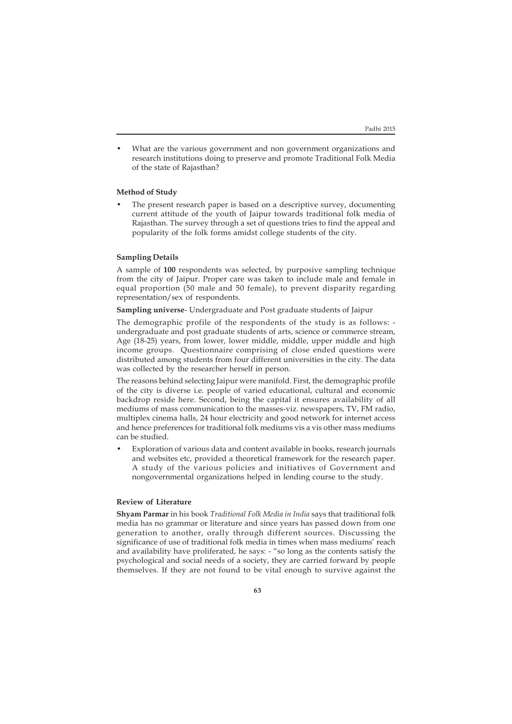• What are the various government and non government organizations and research institutions doing to preserve and promote Traditional Folk Media of the state of Rajasthan?

## **Method of Study**

• The present research paper is based on a descriptive survey, documenting current attitude of the youth of Jaipur towards traditional folk media of Rajasthan. The survey through a set of questions tries to find the appeal and popularity of the folk forms amidst college students of the city.

## **Sampling Details**

A sample of **100** respondents was selected, by purposive sampling technique from the city of Jaipur. Proper care was taken to include male and female in equal proportion (50 male and 50 female), to prevent disparity regarding representation/sex of respondents.

#### **Sampling universe**- Undergraduate and Post graduate students of Jaipur

The demographic profile of the respondents of the study is as follows: undergraduate and post graduate students of arts, science or commerce stream, Age (18-25) years, from lower, lower middle, middle, upper middle and high income groups. Questionnaire comprising of close ended questions were distributed among students from four different universities in the city. The data was collected by the researcher herself in person.

The reasons behind selecting Jaipur were manifold. First, the demographic profile of the city is diverse i.e. people of varied educational, cultural and economic backdrop reside here. Second, being the capital it ensures availability of all mediums of mass communication to the masses-viz. newspapers, TV, FM radio, multiplex cinema halls, 24 hour electricity and good network for internet access and hence preferences for traditional folk mediums vis a vis other mass mediums can be studied.

• Exploration of various data and content available in books, research journals and websites etc, provided a theoretical framework for the research paper. A study of the various policies and initiatives of Government and nongovernmental organizations helped in lending course to the study.

## **Review of Literature**

**Shyam Parmar** in his book *Traditional Folk Media in India* says that traditional folk media has no grammar or literature and since years has passed down from one generation to another, orally through different sources. Discussing the significance of use of traditional folk media in times when mass mediums' reach and availability have proliferated, he says: - "so long as the contents satisfy the psychological and social needs of a society, they are carried forward by people themselves. If they are not found to be vital enough to survive against the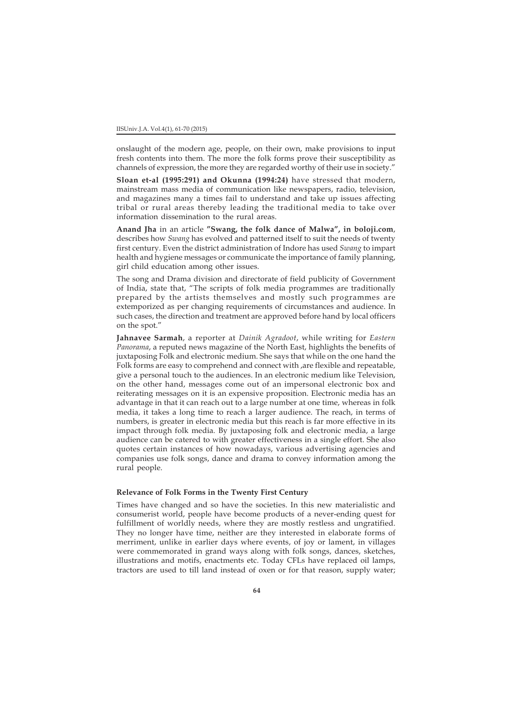onslaught of the modern age, people, on their own, make provisions to input fresh contents into them. The more the folk forms prove their susceptibility as channels of expression, the more they are regarded worthy of their use in society."

**Sloan et-al (1995:291) and Okunna (1994:24)** have stressed that modern, mainstream mass media of communication like newspapers, radio, television, and magazines many a times fail to understand and take up issues affecting tribal or rural areas thereby leading the traditional media to take over information dissemination to the rural areas.

**Anand Jha** in an article **"Swang, the folk dance of Malwa", in boloji.com**, describes how *Swang* has evolved and patterned itself to suit the needs of twenty first century. Even the district administration of Indore has used *Swang* to impart health and hygiene messages or communicate the importance of family planning, girl child education among other issues.

The song and Drama division and directorate of field publicity of Government of India, state that, "The scripts of folk media programmes are traditionally prepared by the artists themselves and mostly such programmes are extemporized as per changing requirements of circumstances and audience. In such cases, the direction and treatment are approved before hand by local officers on the spot."

**Jahnavee Sarmah**, a reporter at *Dainik Agradoot*, while writing for *Eastern Panorama*, a reputed news magazine of the North East, highlights the benefits of juxtaposing Folk and electronic medium. She says that while on the one hand the Folk forms are easy to comprehend and connect with ,are flexible and repeatable, give a personal touch to the audiences. In an electronic medium like Television, on the other hand, messages come out of an impersonal electronic box and reiterating messages on it is an expensive proposition. Electronic media has an advantage in that it can reach out to a large number at one time, whereas in folk media, it takes a long time to reach a larger audience. The reach, in terms of numbers, is greater in electronic media but this reach is far more effective in its impact through folk media. By juxtaposing folk and electronic media, a large audience can be catered to with greater effectiveness in a single effort. She also quotes certain instances of how nowadays, various advertising agencies and companies use folk songs, dance and drama to convey information among the rural people.

# **Relevance of Folk Forms in the Twenty First Century**

Times have changed and so have the societies. In this new materialistic and consumerist world, people have become products of a never-ending quest for fulfillment of worldly needs, where they are mostly restless and ungratified. They no longer have time, neither are they interested in elaborate forms of merriment, unlike in earlier days where events, of joy or lament, in villages were commemorated in grand ways along with folk songs, dances, sketches, illustrations and motifs, enactments etc. Today CFLs have replaced oil lamps, tractors are used to till land instead of oxen or for that reason, supply water;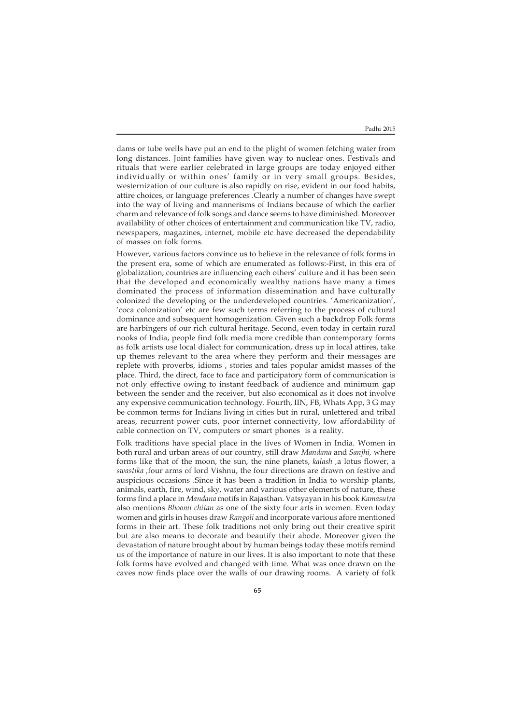dams or tube wells have put an end to the plight of women fetching water from long distances. Joint families have given way to nuclear ones. Festivals and rituals that were earlier celebrated in large groups are today enjoyed either individually or within ones' family or in very small groups. Besides, westernization of our culture is also rapidly on rise, evident in our food habits, attire choices, or language preferences .Clearly a number of changes have swept into the way of living and mannerisms of Indians because of which the earlier charm and relevance of folk songs and dance seems to have diminished. Moreover availability of other choices of entertainment and communication like TV, radio, newspapers, magazines, internet, mobile etc have decreased the dependability of masses on folk forms.

However, various factors convince us to believe in the relevance of folk forms in the present era, some of which are enumerated as follows:-First, in this era of globalization, countries are influencing each others' culture and it has been seen that the developed and economically wealthy nations have many a times dominated the process of information dissemination and have culturally colonized the developing or the underdeveloped countries. 'Americanization', 'coca colonization' etc are few such terms referring to the process of cultural dominance and subsequent homogenization. Given such a backdrop Folk forms are harbingers of our rich cultural heritage. Second, even today in certain rural nooks of India, people find folk media more credible than contemporary forms as folk artists use local dialect for communication, dress up in local attires, take up themes relevant to the area where they perform and their messages are replete with proverbs, idioms , stories and tales popular amidst masses of the place. Third, the direct, face to face and participatory form of communication is not only effective owing to instant feedback of audience and minimum gap between the sender and the receiver, but also economical as it does not involve any expensive communication technology. Fourth, IIN, FB, Whats App, 3 G may be common terms for Indians living in cities but in rural, unlettered and tribal areas, recurrent power cuts, poor internet connectivity, low affordability of cable connection on TV, computers or smart phones is a reality.

Folk traditions have special place in the lives of Women in India. Women in both rural and urban areas of our country, still draw *Mandana* and *Sanjhi,* where forms like that of the moon, the sun, the nine planets, *kalash ,*a lotus flower, a *swastika ,*four arms of lord Vishnu, the four directions are drawn on festive and auspicious occasions .Since it has been a tradition in India to worship plants, animals, earth, fire, wind, sky, water and various other elements of nature, these forms find a place in *Mandana* motifs in Rajasthan. Vatsyayan in his book *Kamasutra* also mentions *Bhoomi chitan* as one of the sixty four arts in women. Even today women and girls in houses draw *Rangoli* and incorporate various afore mentioned forms in their art. These folk traditions not only bring out their creative spirit but are also means to decorate and beautify their abode. Moreover given the devastation of nature brought about by human beings today these motifs remind us of the importance of nature in our lives. It is also important to note that these folk forms have evolved and changed with time. What was once drawn on the caves now finds place over the walls of our drawing rooms. A variety of folk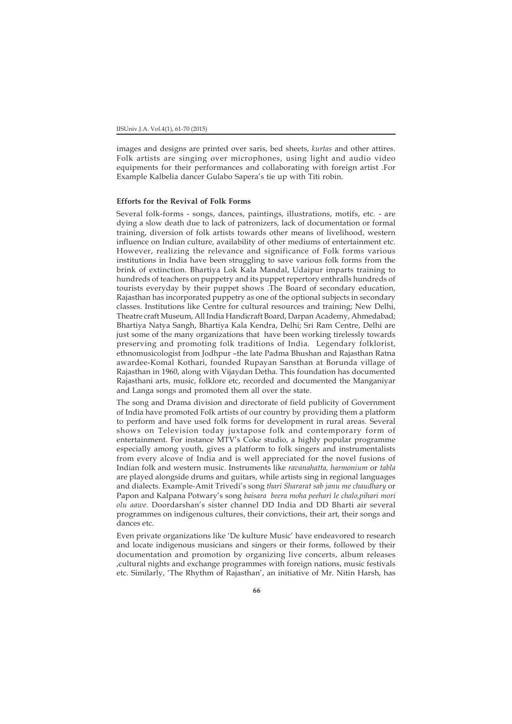images and designs are printed over saris, bed sheets, *kurtas* and other attires. Folk artists are singing over microphones, using light and audio video equipments for their performances and collaborating with foreign artist .For Example Kalbelia dancer Gulabo Sapera's tie up with Titi robin.

### **Efforts for the Revival of Folk Forms**

Several folk-forms - songs, dances, paintings, illustrations, motifs, etc. - are dying a slow death due to lack of patronizers, lack of documentation or formal training, diversion of folk artists towards other means of livelihood, western influence on Indian culture, availability of other mediums of entertainment etc. However, realizing the relevance and significance of Folk forms various institutions in India have been struggling to save various folk forms from the brink of extinction. Bhartiya Lok Kala Mandal, Udaipur imparts training to hundreds of teachers on puppetry and its puppet repertory enthralls hundreds of tourists everyday by their puppet shows .The Board of secondary education, Rajasthan has incorporated puppetry as one of the optional subjects in secondary classes. Institutions like Centre for cultural resources and training; New Delhi, Theatre craft Museum, All India Handicraft Board, Darpan Academy, Ahmedabad; Bhartiya Natya Sangh, Bhartiya Kala Kendra, Delhi; Sri Ram Centre, Delhi are just some of the many organizations that have been working tirelessly towards preserving and promoting folk traditions of India. Legendary folklorist, ethnomusicologist from Jodhpur –the late Padma Bhushan and Rajasthan Ratna awardee-Komal Kothari, founded Rupayan Sansthan at Borunda village of Rajasthan in 1960, along with Vijaydan Detha. This foundation has documented Rajasthani arts, music, folklore etc, recorded and documented the Manganiyar and Langa songs and promoted them all over the state.

The song and Drama division and directorate of field publicity of Government of India have promoted Folk artists of our country by providing them a platform to perform and have used folk forms for development in rural areas. Several shows on Television today juxtapose folk and contemporary form of entertainment. For instance MTV's Coke studio, a highly popular programme especially among youth, gives a platform to folk singers and instrumentalists from every alcove of India and is well appreciated for the novel fusions of Indian folk and western music. Instruments like *ravanahatta, harmonium* or *tabla* are played alongside drums and guitars, while artists sing in regional languages and dialects. Example-Amit Trivedi's song *thari Shararat sab janu me chaudhary* or Papon and Kalpana Potwary's song *baisara beera moha peehari le chalo,pihari mori olu aawe.* Doordarshan's sister channel DD India and DD Bharti air several programmes on indigenous cultures, their convictions, their art, their songs and dances etc.

Even private organizations like 'De kulture Music' have endeavored to research and locate indigenous musicians and singers or their forms, followed by their documentation and promotion by organizing live concerts, album releases ,cultural nights and exchange programmes with foreign nations, music festivals etc. Similarly, 'The Rhythm of Rajasthan', an initiative of Mr. Nitin Harsh, has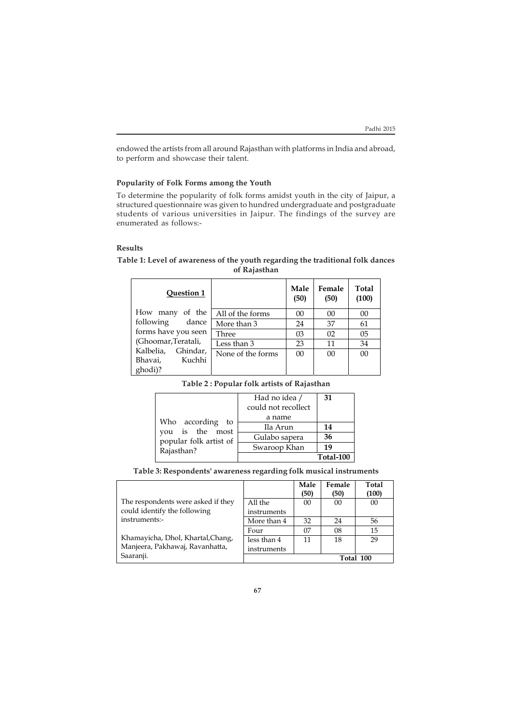٦

endowed the artists from all around Rajasthan with platforms in India and abroad, to perform and showcase their talent.

# **Popularity of Folk Forms among the Youth**

To determine the popularity of folk forms amidst youth in the city of Jaipur, a structured questionnaire was given to hundred undergraduate and postgraduate students of various universities in Jaipur. The findings of the survey are enumerated as follows:-

## **Results**

 $\overline{1}$ 

| <b>Question 1</b>     |                   | Male<br>(50) | Female<br>(50) | Total<br>(100) |
|-----------------------|-------------------|--------------|----------------|----------------|
| How many of the       | All of the forms  | 00           | 00             | 00             |
| following dance       | More than 3       | 24           | 37             | 61             |
| forms have you seen   | Three             | 03           | 02             | 05             |
| (Ghoomar, Teratali,   | Less than 3       | 23           | 11             | 34             |
| Kalbelia,<br>Ghindar, | None of the forms | 00           | 00             | 0 <sup>0</sup> |
| Kuchhi<br>Bhavai,     |                   |              |                |                |
| ghodi)?               |                   |              |                |                |

# **Table 1: Level of awareness of the youth regarding the traditional folk dances of Rajasthan**

| Table 2 : Popular folk artists of Rajasthan |
|---------------------------------------------|
|---------------------------------------------|

|                                                                             | Had no idea /<br>could not recollect | 31        |
|-----------------------------------------------------------------------------|--------------------------------------|-----------|
| Who according to<br>you is the most<br>popular folk artist of<br>Rajasthan? | a name                               |           |
|                                                                             | Ila Arun                             | 14        |
|                                                                             | Gulabo sapera                        | 36        |
|                                                                             | Swaroop Khan                         | 19        |
|                                                                             |                                      | Total-100 |

**Table 3: Respondents' awareness regarding folk musical instruments**

|                                                                      |                            | Male<br>(50) | Female<br>(50) | <b>Total</b><br>(100) |
|----------------------------------------------------------------------|----------------------------|--------------|----------------|-----------------------|
| The respondents were asked if they<br>could identify the following   | All the<br>instruments     | 00           | 00             | 00                    |
| instruments:-                                                        | More than 4                | 32           | 24             | 56                    |
| Khamayicha, Dhol, Khartal, Chang,<br>Manjeera, Pakhawaj, Ravanhatta, | Four                       | 07           | 08             | 15                    |
|                                                                      | less than 4<br>instruments | 11           | 18             | 29                    |
| Saaranji.                                                            |                            | Total 100    |                |                       |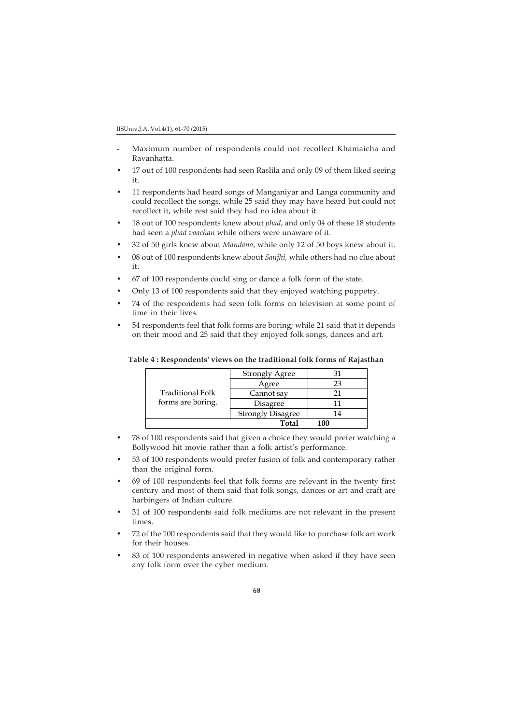- Maximum number of respondents could not recollect Khamaicha and Ravanhatta.
- 17 out of 100 respondents had seen Raslila and only 09 of them liked seeing it.
- 11 respondents had heard songs of Manganiyar and Langa community and could recollect the songs, while 25 said they may have heard but could not recollect it, while rest said they had no idea about it.
- 18 out of 100 respondents knew about *phad*, and only 04 of these 18 students had seen a *phad vaachan* while others were unaware of it.
- 32 of 50 girls knew about *Mandana*, while only 12 of 50 boys knew about it.
- 08 out of 100 respondents knew about *Sanjhi,* while others had no clue about it.
- 67 of 100 respondents could sing or dance a folk form of the state.
- Only 13 of 100 respondents said that they enjoyed watching puppetry.
- 74 of the respondents had seen folk forms on television at some point of time in their lives.
- 54 respondents feel that folk forms are boring; while 21 said that it depends on their mood and 25 said that they enjoyed folk songs, dances and art.

|                                       | <b>Strongly Agree</b>    |     |
|---------------------------------------|--------------------------|-----|
| Traditional Folk<br>forms are boring. | Agree                    | 23  |
|                                       | Cannot say               | 21  |
|                                       | Disagree                 |     |
|                                       | <b>Strongly Disagree</b> | 14  |
|                                       | Total                    | 100 |

**Table 4 : Respondents' views on the traditional folk forms of Rajasthan**

- 78 of 100 respondents said that given a choice they would prefer watching a Bollywood hit movie rather than a folk artist's performance.
- 53 of 100 respondents would prefer fusion of folk and contemporary rather than the original form.
- 69 of 100 respondents feel that folk forms are relevant in the twenty first century and most of them said that folk songs, dances or art and craft are harbingers of Indian culture.
- 31 of 100 respondents said folk mediums are not relevant in the present times.
- 72 of the 100 respondents said that they would like to purchase folk art work for their houses.
- 83 of 100 respondents answered in negative when asked if they have seen any folk form over the cyber medium.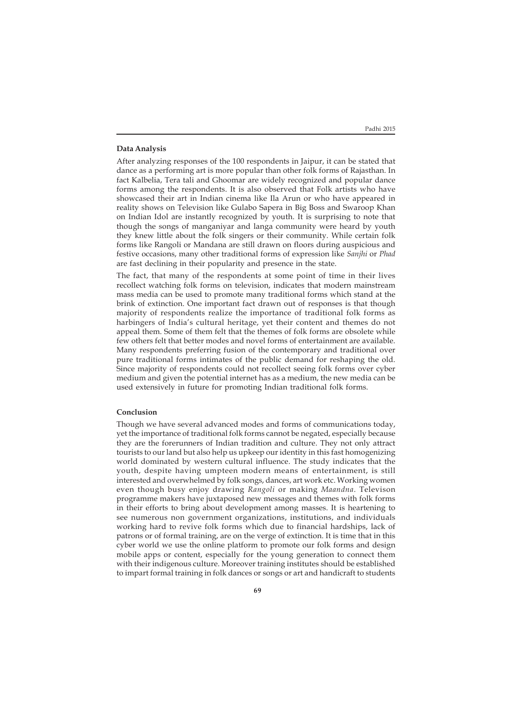## **Data Analysis**

After analyzing responses of the 100 respondents in Jaipur, it can be stated that dance as a performing art is more popular than other folk forms of Rajasthan. In fact Kalbelia, Tera tali and Ghoomar are widely recognized and popular dance forms among the respondents. It is also observed that Folk artists who have showcased their art in Indian cinema like Ila Arun or who have appeared in reality shows on Television like Gulabo Sapera in Big Boss and Swaroop Khan on Indian Idol are instantly recognized by youth. It is surprising to note that though the songs of manganiyar and langa community were heard by youth they knew little about the folk singers or their community. While certain folk forms like Rangoli or Mandana are still drawn on floors during auspicious and festive occasions, many other traditional forms of expression like *Sanjhi* or *Phad* are fast declining in their popularity and presence in the state.

The fact, that many of the respondents at some point of time in their lives recollect watching folk forms on television, indicates that modern mainstream mass media can be used to promote many traditional forms which stand at the brink of extinction. One important fact drawn out of responses is that though majority of respondents realize the importance of traditional folk forms as harbingers of India's cultural heritage, yet their content and themes do not appeal them. Some of them felt that the themes of folk forms are obsolete while few others felt that better modes and novel forms of entertainment are available. Many respondents preferring fusion of the contemporary and traditional over pure traditional forms intimates of the public demand for reshaping the old. Since majority of respondents could not recollect seeing folk forms over cyber medium and given the potential internet has as a medium, the new media can be used extensively in future for promoting Indian traditional folk forms.

## **Conclusion**

Though we have several advanced modes and forms of communications today, yet the importance of traditional folk forms cannot be negated, especially because they are the forerunners of Indian tradition and culture. They not only attract tourists to our land but also help us upkeep our identity in this fast homogenizing world dominated by western cultural influence. The study indicates that the youth, despite having umpteen modern means of entertainment, is still interested and overwhelmed by folk songs, dances, art work etc. Working women even though busy enjoy drawing *Rangoli* or making *Maandna*. Televison programme makers have juxtaposed new messages and themes with folk forms in their efforts to bring about development among masses. It is heartening to see numerous non government organizations, institutions, and individuals working hard to revive folk forms which due to financial hardships, lack of patrons or of formal training, are on the verge of extinction. It is time that in this cyber world we use the online platform to promote our folk forms and design mobile apps or content, especially for the young generation to connect them with their indigenous culture. Moreover training institutes should be established to impart formal training in folk dances or songs or art and handicraft to students